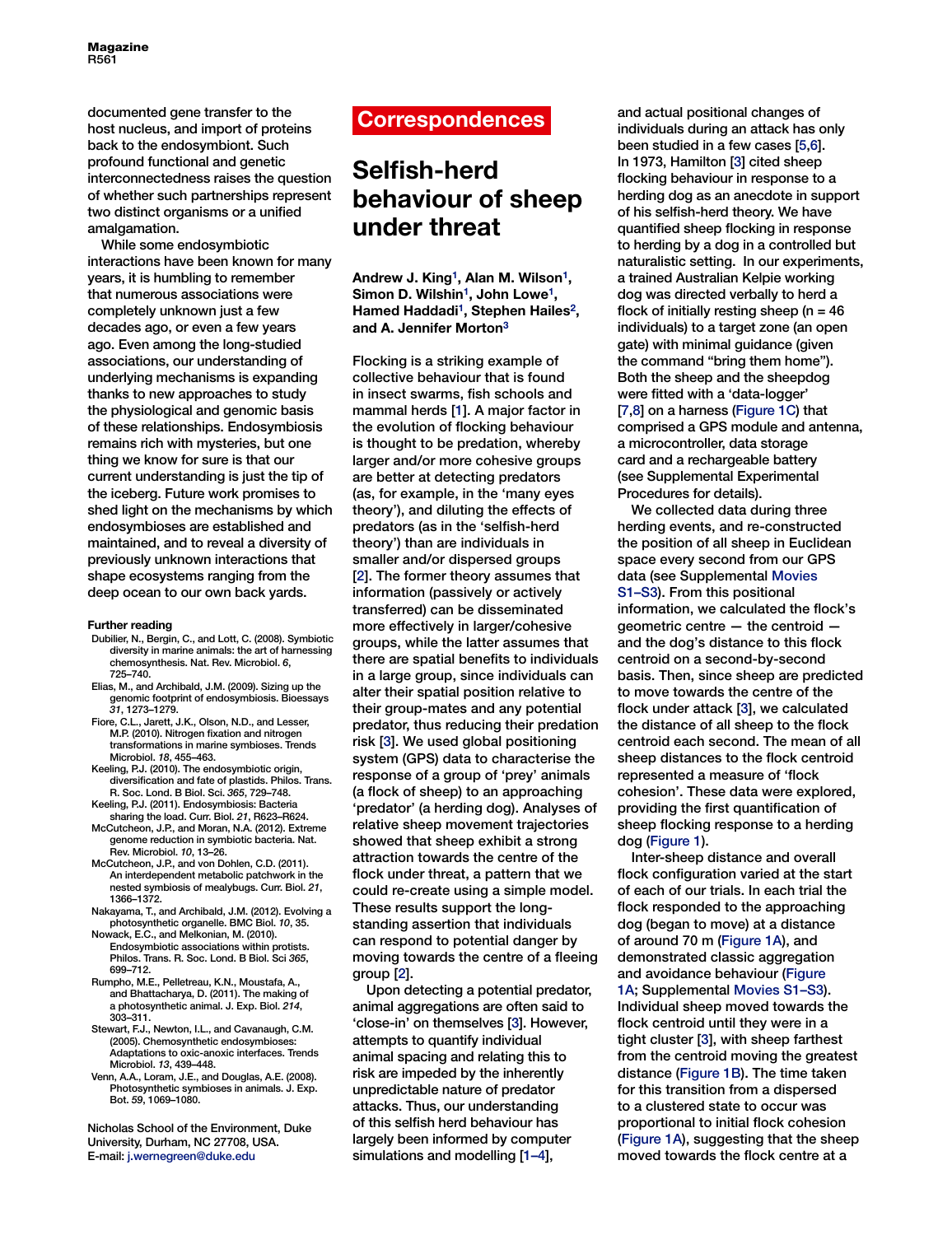Magazine R561

documented gene transfer to the host nucleus, and import of proteins back to the endosymbiont. Such profound functional and genetic interconnectedness raises the question of whether such partnerships represent two distinct organisms or a unified amalgamation.

While some endosymbiotic interactions have been known for many years, it is humbling to remember that numerous associations were completely unknown just a few decades ago, or even a few years ago. Even among the long-studied associations, our understanding of underlying mechanisms is expanding thanks to new approaches to study the physiological and genomic basis of these relationships. Endosymbiosis remains rich with mysteries, but one thing we know for sure is that our current understanding is just the tip of the iceberg. Future work promises to shed light on the mechanisms by which endosymbioses are established and maintained, and to reveal a diversity of previously unknown interactions that shape ecosystems ranging from the deep ocean to our own back yards.

### **Further reading**

- Dubilier, N., Bergin, C., and Lott, C. (2008). Symbiotic diversity in marine animals: the art of harnessing chemosynthesis. Nat. Rev. Microbiol. *6*, 725–740.
- Elias, M., and Archibald, J.M. (2009). Sizing up the genomic footprint of endosymbiosis. Bioessays *31*, 1273–1279.
- Fiore, C.L., Jarett, J.K., Olson, N.D., and Lesser, M.P. (2010). Nitrogen fixation and nitrogen transformations in marine symbioses. Trends Microbiol. *18*, 455–463.
- Keeling, P.J. (2010). The endosymbiotic origin, diversification and fate of plastids. Philos. Trans. R. Soc. Lond. B Biol. Sci. *365*, 729–748.
- Keeling, P.J. (2011). Endosymbiosis: Bacteria sharing the load. Curr. Biol. *21*, R623–R624. McCutcheon, J.P., and Moran, N.A. (2012). Extreme
- genome reduction in symbiotic bacteria. Nat. Rev. Microbiol. *10*, 13–26.
- McCutcheon, J.P., and von Dohlen, C.D. (2011). An interdependent metabolic patchwork in the nested symbiosis of mealybugs. Curr. Biol. *21*, 1366–1372.
- Nakayama, T., and Archibald, J.M. (2012). Evolving a photosynthetic organelle. BMC Biol. *10*, 35.
- Nowack, E.C., and Melkonian, M. (2010). Endosymbiotic associations within protists. Philos. Trans. R. Soc. Lond. B Biol. Sci *365*, 699–712.
- Rumpho, M.E., Pelletreau, K.N., Moustafa, A., and Bhattacharya, D. (2011). The making of a photosynthetic animal. J. Exp. Biol. *214*, 303–311.
- Stewart, F.J., Newton, I.L., and Cavanaugh, C.M. (2005). Chemosynthetic endosymbioses: Adaptations to oxic-anoxic interfaces. Trends Microbiol. *13*, 439–448.
- Venn, A.A., Loram, J.E., and Douglas, A.E. (2008). Photosynthetic symbioses in animals. J. Exp. Bot. *59*, 1069–1080.

Nicholas School of the Environment, Duke University, Durham, NC 27708, USA. E-mail: [j.wernegreen@duke.edu](mailto:j.wernegreen@duke.edu)

# **Correspondences**

# **Selfish-herd behaviour of sheep under threat**

**Andrew J. King[1,](#page-1-0) Alan M. Wilson[1,](#page-1-0) Simon D. Wilshin[1,](#page-1-0) John Lowe[1,](#page-1-0) Hamed Haddadi[1,](#page-1-0) Stephen Haile[s2,](#page-1-0) and A. Jennifer Morton[3](#page-1-0)**

Flocking is a striking example of collective behaviour that is found in insect swarms, fish schools and mammal herds [\[1\]](#page-1-0). A major factor in the evolution of flocking behaviour is thought to be predation, whereby larger and/or more cohesive groups are better at detecting predators (as, for example, in the 'many eyes theory'), and diluting the effects of predators (as in the 'selfish-herd theory') than are individuals in smaller and/or dispersed groups [\[2\]](#page-1-0). The former theory assumes that information (passively or actively transferred) can be disseminated more effectively in larger/cohesive groups, while the latter assumes that there are spatial benefits to individuals in a large group, since individuals can alter their spatial position relative to their group-mates and any potential predator, thus reducing their predation risk [\[3\]](#page-1-0). We used global positioning system (GPS) data to characterise the response of a group of 'prey' animals (a flock of sheep) to an approaching 'predator' (a herding dog). Analyses of relative sheep movement trajectories showed that sheep exhibit a strong attraction towards the centre of the flock under threat, a pattern that we could re-create using a simple model. These results support the longstanding assertion that individuals can respond to potential danger by moving towards the centre of a fleeing group [\[2\]](#page-1-0).

Upon detecting a potential predator, animal aggregations are often said to 'close-in' on themselves [\[3\]](#page-1-0). However, attempts to quantify individual animal spacing and relating this to risk are impeded by the inherently unpredictable nature of predator attacks. Thus, our understanding of this selfish herd behaviour has largely been informed by computer simulations and modelling [\[1–4\]](#page-1-0),

and actual positional changes of individuals during an attack has only been studied in a few cases [[5,6\]](#page-1-0). In 1973, Hamilton [\[3\]](#page-1-0) cited sheep flocking behaviour in response to a herding dog as an anecdote in support of his selfish-herd theory. We have quantified sheep flocking in response to herding by a dog in a controlled but naturalistic setting. In our experiments, a trained Australian Kelpie working dog was directed verbally to herd a flock of initially resting sheep ( $n = 46$ ) individuals) to a target zone (an open gate) with minimal guidance (given the command "bring them home"). Both the sheep and the sheepdog were fitted with a 'data-logger' [\[7,8\]](#page-1-0) on a harness [\(Figure 1C\)](#page-1-0) that comprised a GPS module and antenna, a microcontroller, data storage card and a rechargeable battery (see Supplemental Experimental Procedures for details).

We collected data during three herding events, and re-constructed the position of all sheep in Euclidean space every second from our GPS data (see Supplemental Movies S1–S3). From this positional information, we calculated the flock's geometric centre — the centroid and the dog's distance to this flock centroid on a second-by-second basis. Then, since sheep are predicted to move towards the centre of the flock under attack [\[3\]](#page-1-0), we calculated the distance of all sheep to the flock centroid each second. The mean of all sheep distances to the flock centroid represented a measure of 'flock cohesion'. These data were explored, providing the first quantification of sheep flocking response to a herding dog [\(Figure 1\)](#page-1-0).

Inter-sheep distance and overall flock configuration varied at the start of each of our trials. In each trial the flock responded to the approaching dog (began to move) at a distance of around 70 m [\(Figure 1A\)](#page-1-0), and demonstrated classic aggregation and avoidance behaviour [\(Figure](#page-1-0)  [1A;](#page-1-0) Supplemental Movies S1–S3). Individual sheep moved towards the flock centroid until they were in a tight cluster [\[3\]](#page-1-0), with sheep farthest from the centroid moving the greatest distance [\(Figure 1B\)](#page-1-0). The time taken for this transition from a dispersed to a clustered state to occur was proportional to initial flock cohesion ([Figure 1A\)](#page-1-0), suggesting that the sheep moved towards the flock centre at a